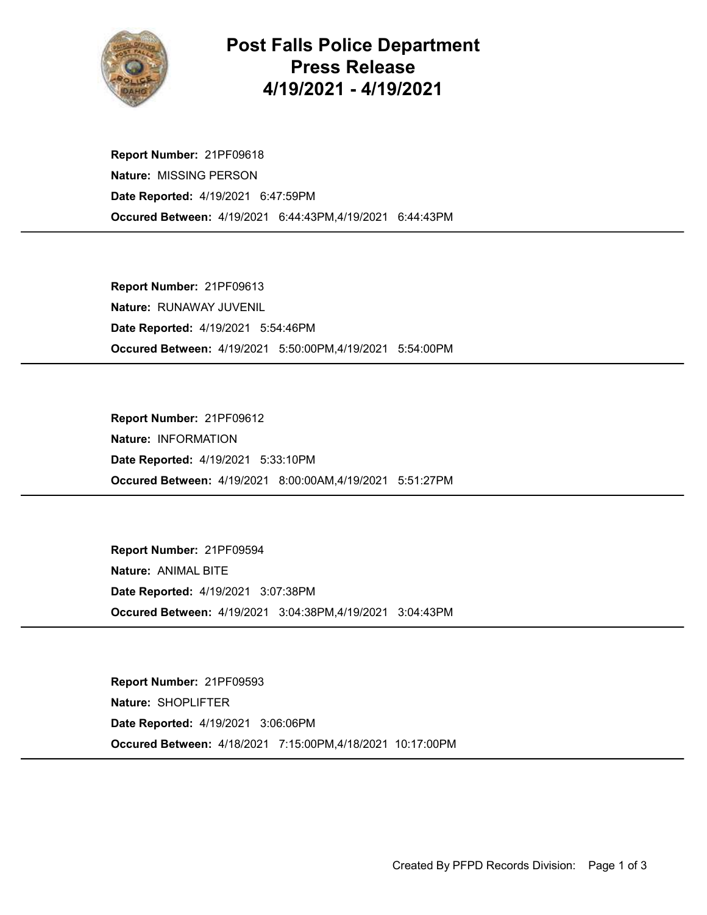

## Post Falls Police Department Press Release 4/19/2021 - 4/19/2021

Occured Between: 4/19/2021 6:44:43PM,4/19/2021 6:44:43PM Report Number: 21PF09618 Nature: MISSING PERSON Date Reported: 4/19/2021 6:47:59PM

Occured Between: 4/19/2021 5:50:00PM,4/19/2021 5:54:00PM Report Number: 21PF09613 Nature: RUNAWAY JUVENIL Date Reported: 4/19/2021 5:54:46PM

Occured Between: 4/19/2021 8:00:00AM,4/19/2021 5:51:27PM Report Number: 21PF09612 Nature: INFORMATION Date Reported: 4/19/2021 5:33:10PM

Occured Between: 4/19/2021 3:04:38PM,4/19/2021 3:04:43PM Report Number: 21PF09594 Nature: ANIMAL BITE Date Reported: 4/19/2021 3:07:38PM

Occured Between: 4/18/2021 7:15:00PM,4/18/2021 10:17:00PM Report Number: 21PF09593 Nature: SHOPLIFTER Date Reported: 4/19/2021 3:06:06PM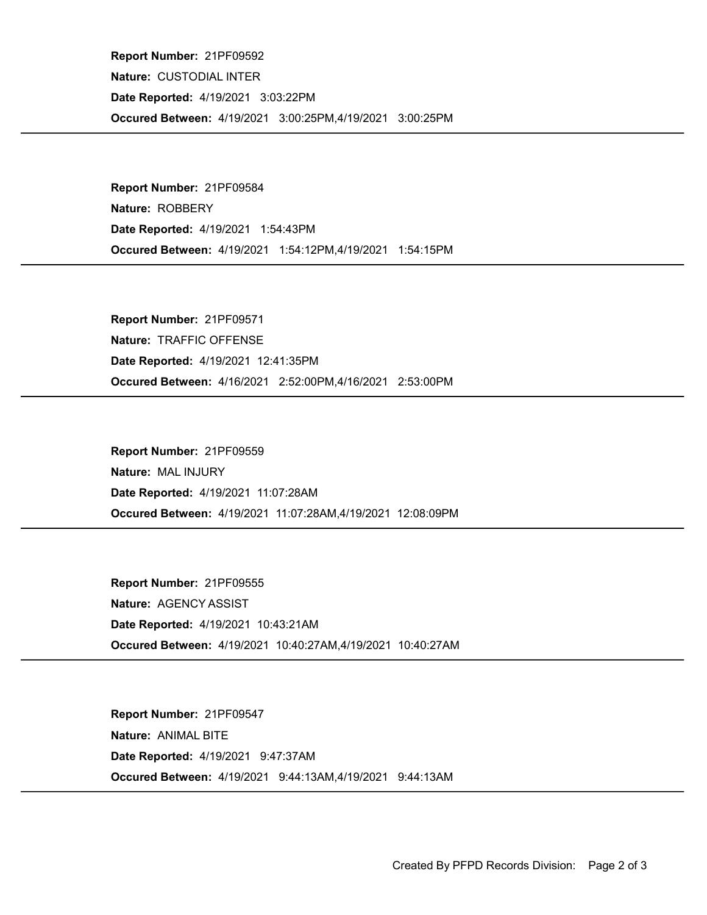Occured Between: 4/19/2021 3:00:25PM,4/19/2021 3:00:25PM Report Number: 21PF09592 Nature: CUSTODIAL INTER Date Reported: 4/19/2021 3:03:22PM

Occured Between: 4/19/2021 1:54:12PM,4/19/2021 1:54:15PM Report Number: 21PF09584 Nature: ROBBERY Date Reported: 4/19/2021 1:54:43PM

Occured Between: 4/16/2021 2:52:00PM,4/16/2021 2:53:00PM Report Number: 21PF09571 Nature: TRAFFIC OFFENSE Date Reported: 4/19/2021 12:41:35PM

Occured Between: 4/19/2021 11:07:28AM,4/19/2021 12:08:09PM Report Number: 21PF09559 Nature: MAL INJURY Date Reported: 4/19/2021 11:07:28AM

Occured Between: 4/19/2021 10:40:27AM,4/19/2021 10:40:27AM Report Number: 21PF09555 Nature: AGENCY ASSIST Date Reported: 4/19/2021 10:43:21AM

Occured Between: 4/19/2021 9:44:13AM,4/19/2021 9:44:13AM Report Number: 21PF09547 Nature: ANIMAL BITE Date Reported: 4/19/2021 9:47:37AM